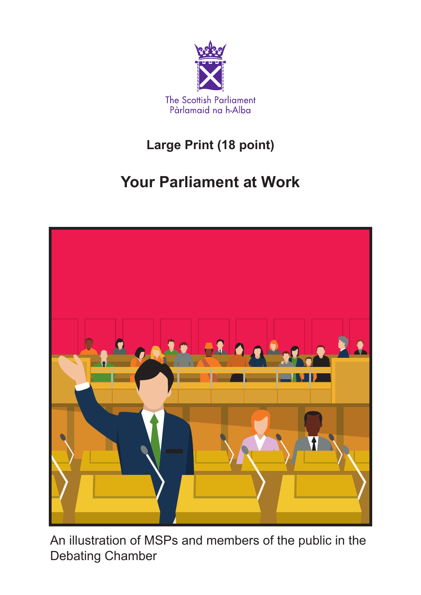

### **Large Print (18 point)**

### **Your Parliament at Work**



An illustration of MSPs and members of the public in the Debating Chamber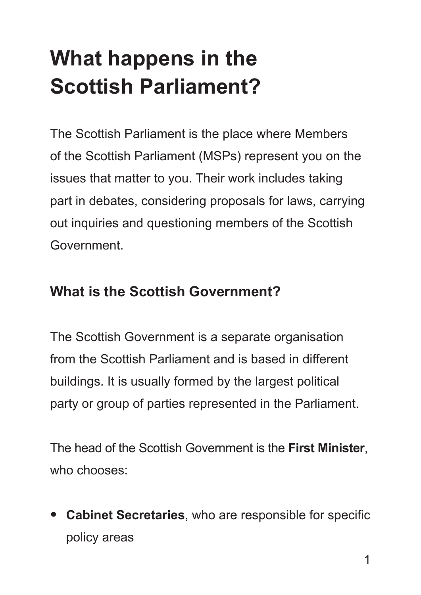## **What happens in the Scottish Parliament?**

The Scottish Parliament is the place where Members of the Scottish Parliament (MSPs) represent you on the issues that matter to you. Their work includes taking part in debates, considering proposals for laws, carrying out inquiries and questioning members of the Scottish Government.

#### **What is the Scottish Government?**

The Scottish Government is a separate organisation from the Scottish Parliament and is based in different buildings. It is usually formed by the largest political party or group of parties represented in the Parliament.

The head of the Scottish Government is the **First Minister**, who chooses:

• **Cabinet Secretaries**, who are responsible for specific policy areas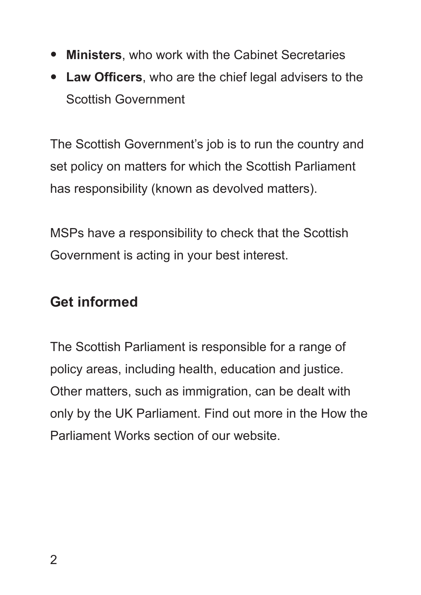- **Ministers**, who work with the Cabinet Secretaries
- **Law Officers**, who are the chief legal advisers to the Scottish Government

The Scottish Government's job is to run the country and set policy on matters for which the Scottish Parliament has responsibility (known as devolved matters).

MSPs have a responsibility to check that the Scottish Government is acting in your best interest.

#### **Get informed**

The Scottish Parliament is responsible for a range of policy areas, including health, education and justice. Other matters, such as immigration, can be dealt with only by the UK Parliament. Find out more in the How the Parliament Works section of our website.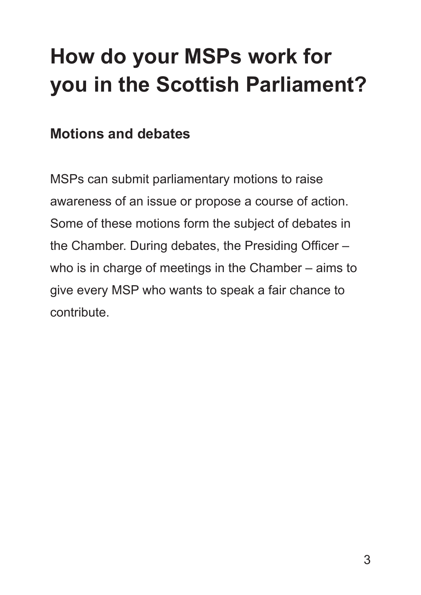## **How do your MSPs work for you in the Scottish Parliament?**

### **Motions and debates**

MSPs can submit parliamentary motions to raise awareness of an issue or propose a course of action. Some of these motions form the subject of debates in the Chamber. During debates, the Presiding Officer – who is in charge of meetings in the Chamber – aims to give every MSP who wants to speak a fair chance to contribute.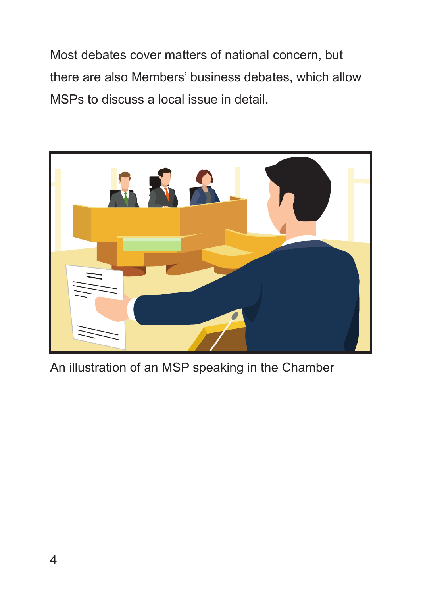Most debates cover matters of national concern, but there are also Members' business debates, which allow MSPs to discuss a local issue in detail.



An illustration of an MSP speaking in the Chamber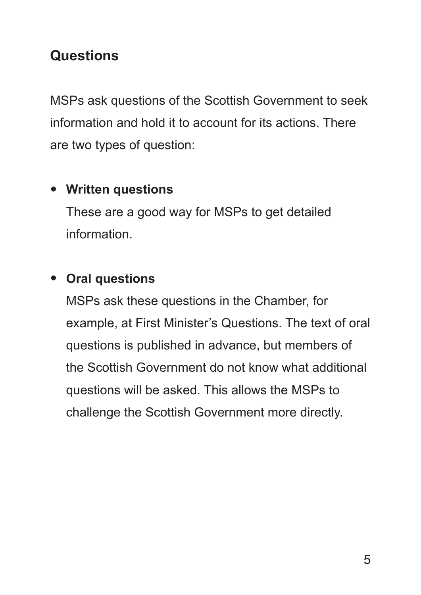### **Questions**

MSPs ask questions of the Scottish Government to seek information and hold it to account for its actions. There are two types of question:

#### • **Written questions**

These are a good way for MSPs to get detailed information.

#### • **Oral questions**

MSPs ask these questions in the Chamber, for example, at First Minister's Questions. The text of oral questions is published in advance, but members of the Scottish Government do not know what additional questions will be asked. This allows the MSPs to challenge the Scottish Government more directly.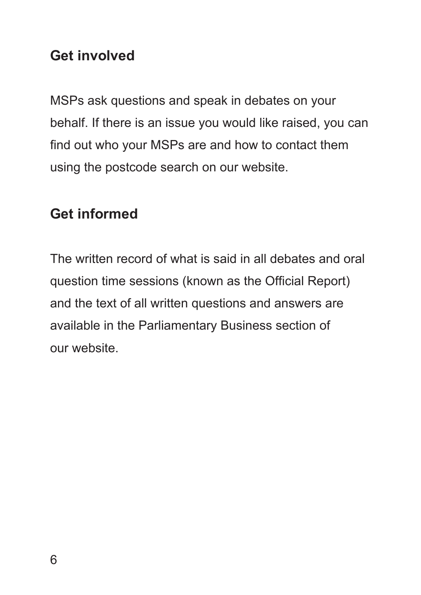#### **Get involved**

MSPs ask questions and speak in debates on your behalf. If there is an issue you would like raised, you can find out who your MSPs are and how to contact them using the postcode search on our website.

#### **Get informed**

The written record of what is said in all debates and oral question time sessions (known as the Official Report) and the text of all written questions and answers are available in the Parliamentary Business section of our website.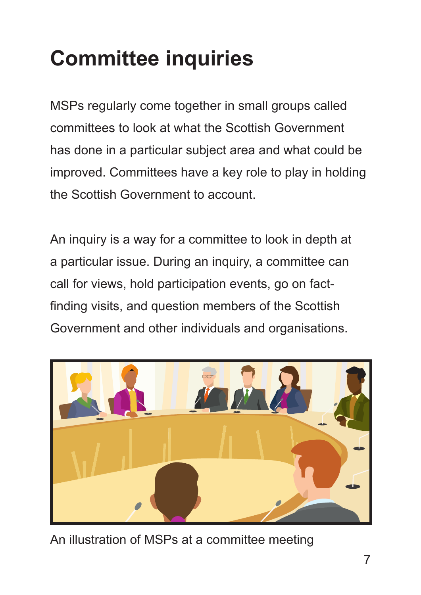## **Committee inquiries**

MSPs regularly come together in small groups called committees to look at what the Scottish Government has done in a particular subject area and what could be improved. Committees have a key role to play in holding the Scottish Government to account.

An inquiry is a way for a committee to look in depth at a particular issue. During an inquiry, a committee can call for views, hold participation events, go on factfinding visits, and question members of the Scottish Government and other individuals and organisations.



An illustration of MSPs at a committee meeting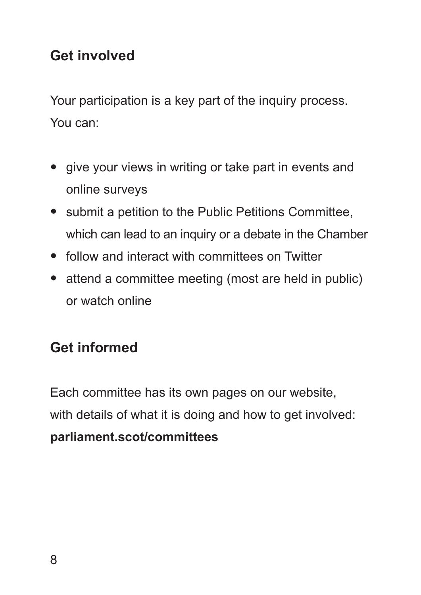### **Get involved**

Your participation is a key part of the inquiry process. You can:

- give your views in writing or take part in events and online surveys
- submit a petition to the Public Petitions Committee, which can lead to an inquiry or a debate in the Chamber
- follow and interact with committees on Twitter
- attend a committee meeting (most are held in public) or watch online

### **Get informed**

Each committee has its own pages on our website, with details of what it is doing and how to get involved: **[parliament.scot/committees](http://www.parliament.scot/parliamentarybusiness/committees.aspx)**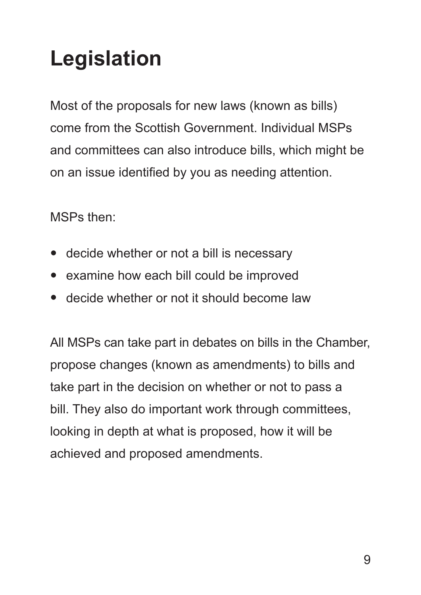# **Legislation**

Most of the proposals for new laws (known as bills) come from the Scottish Government. Individual MSPs and committees can also introduce bills, which might be on an issue identified by you as needing attention.

MSPs then:

- decide whether or not a bill is necessary
- examine how each bill could be improved
- decide whether or not it should become law

All MSPs can take part in debates on bills in the Chamber, propose changes (known as amendments) to bills and take part in the decision on whether or not to pass a bill. They also do important work through committees, looking in depth at what is proposed, how it will be achieved and proposed amendments.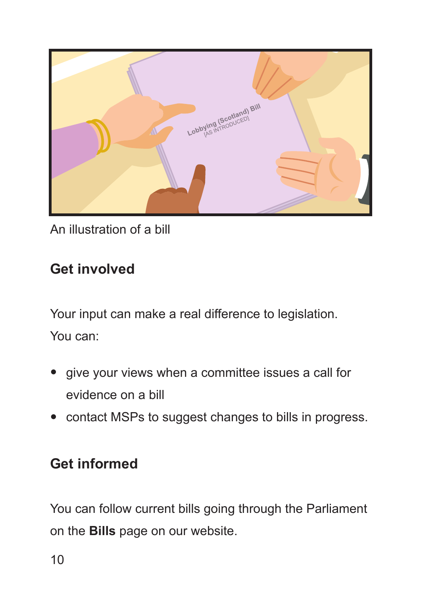

An illustration of a bill

### **Get involved**

Your input can make a real difference to legislation. You can:

- give your views when a committee issues a call for evidence on a bill
- contact MSPs to suggest changes to bills in progress.

#### **Get informed**

You can follow current bills going through the Parliament on the **[Bills](http://www.parliament.scot/parliamentarybusiness/bills.aspx)** page on our website.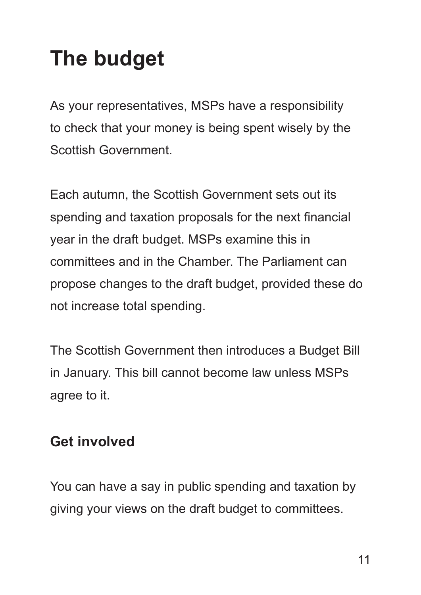## **The budget**

As your representatives, MSPs have a responsibility to check that your money is being spent wisely by the Scottish Government.

Each autumn, the Scottish Government sets out its spending and taxation proposals for the next financial year in the draft budget. MSPs examine this in committees and in the Chamber. The Parliament can propose changes to the draft budget, provided these do not increase total spending.

The Scottish Government then introduces a Budget Bill in January. This bill cannot become law unless MSPs agree to it.

#### **Get involved**

You can have a say in public spending and taxation by giving your views on the draft budget to committees.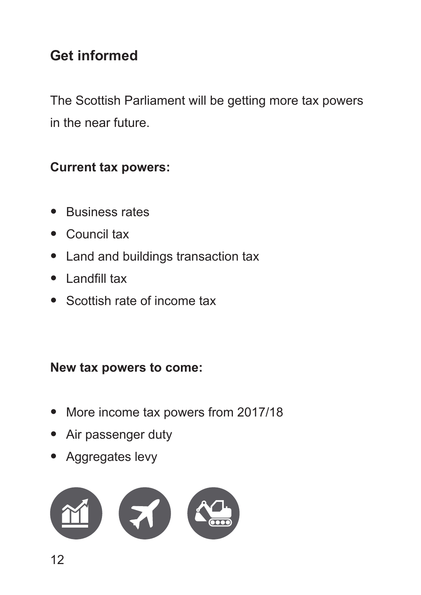### **Get informed**

The Scottish Parliament will be getting more tax powers in the near future.

#### **Current tax powers:**

- Business rates
- Council tax
- Land and buildings transaction tax
- Landfill tax
- Scottish rate of income tax

#### **New tax powers to come:**

- More income tax powers from 2017/18
- Air passenger duty
- Aggregates levy

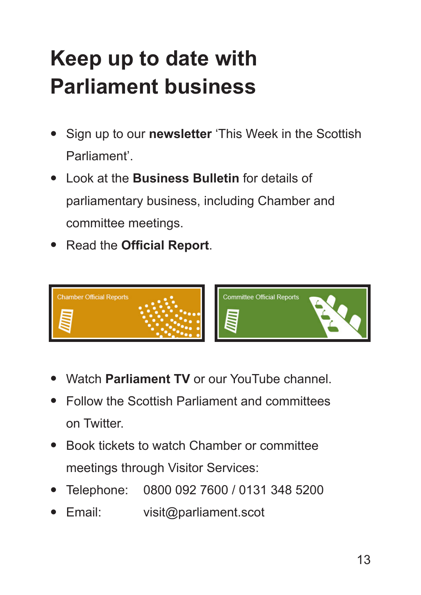## **Keep up to date with Parliament business**

- Sign up to our **[newsletter](http://www.parliament.scot/parliamentarybusiness/ebulletin.aspx)** 'This Week in the Scottish Parliament'.
- Look at the **[Business Bulletin](https://bb.parliament.scot/#20160623)** for details of parliamentary business, including Chamber and committee meetings.
- Read the **[Official Report](http://www.parliament.scot/OfficialReport)**.



- Watch **[Parliament TV](http://www.scottishparliament.tv)** or our YouTube channel.
- Follow the Scottish Parliament and committees on Twitter.
- Book tickets to watch Chamber or committee meetings through Visitor Services:
- Telephone: 0800 092 7600 / 0131 348 5200
- Email: visit@parliament.scot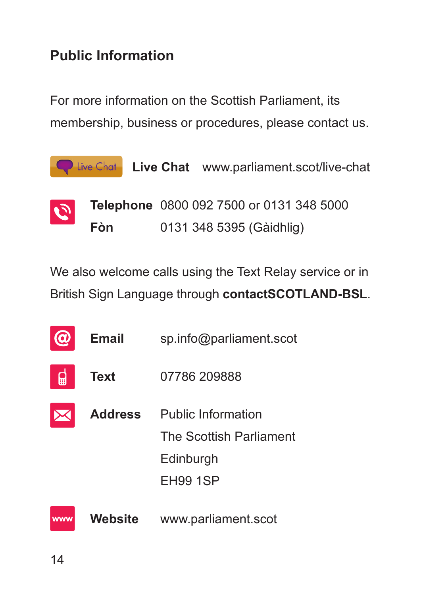### **Public Information**

For more information on the Scottish Parliament, its membership, business or procedures, please contact us.

|                 |     | <b>Q</b> Live Chat <b>Live Chat</b> www.parliament.scot/live-chat |
|-----------------|-----|-------------------------------------------------------------------|
| $ \mathcal{O} $ |     | Telephone 0800 092 7500 or 0131 348 5000                          |
|                 | Fòn | 0131 348 5395 (Gàidhlig)                                          |

We also welcome calls using the Text Relay service or in British Sign Language through **[contactSCOTLAND-BSL](www.contactscotland-bsl.org/)**.

|            | <b>Email</b>   | sp.info@parliament.scot   |
|------------|----------------|---------------------------|
| m          | <b>Text</b>    | 07786 209888              |
|            | <b>Address</b> | <b>Public Information</b> |
|            |                | The Scottish Parliament   |
|            |                | Edinburgh                 |
|            |                | <b>EH99 1SP</b>           |
| <b>WWW</b> | <b>Website</b> | www.parliament.scot       |